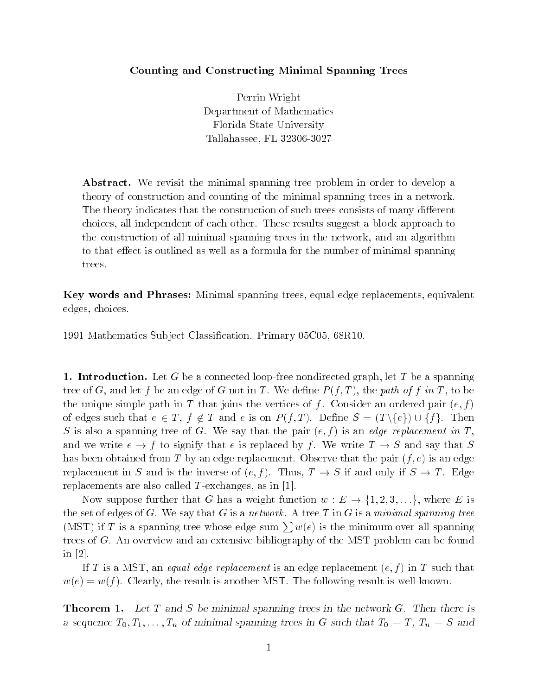## Counting and Constructing Minimal Spanning Trees

Perrin Wright Department of Mathematics Florida State University Tallahassee, FL 32306-3027

Abstract. We revisit the minimal spanning tree problem in order to develop a theory of construction and counting of the minimal spanning trees in a network. The theory indicates that the construction of such trees consists of many different choices, all independent of each other. These results suggest a block approach to the construction of all minimal spanning trees in the network, and an algorithm to that effect is outlined as well as a formula for the number of minimal spanning trees.

Key words and Phrases: Minimal spanning trees, equal edge replacements, equivalent edges, choices.

1991 Mathematics Sub ject Classication. Primary 05C05, 68R10.

1. Introduction. Let G be a connected loop-free nondirected graph, let T be a spanning tree of G, and let f be an edge of G not in T. We define  $P(f,T)$ , the path of f in T, to be the unique simple path in T that joins the vertices of f. Consider an ordered pair  $(e, f)$ of edges such that  $e \in T$ ,  $f \notin T$  and e is on  $P(f,T)$ . Define  $S = (T \setminus \{e\}) \cup \{f\}$ . Then  $S$  is also a spanning tree or  $G$ . We say that the pair  $(e, f)$  is an edge replacement in  $T$ , and we write  $e \rightarrow f$  to signify that e is replaced by f. We write  $T \rightarrow S$  and say that S has been obtained from T by an edge replacement. Observe that the pair  $(f, e)$  is an edge replacement in S and is the inverse of  $(e, f)$ . Thus,  $T \to S$  if and only if  $S \to T$ . Edge replacements are also called T-exchanges, as in  $[1]$ .

Now suppose further that G has a weight function  $w : E \to \{1, 2, 3, \ldots\}$ , where E is the set of edges of G. We say that G is a network. A tree T in G is a minimal spanning tree (MST) if T is a spanning tree whose edge sum  $\sum_{\alpha} w(e)$  is the minimum over all spanning trees of G. An overview and an extensive bibliography of the MST problem can be found in [2].

If T is a MST, an equal edge replacement is an edge replacement  $(e, f)$  in T such that  $w(e) = w(f)$ . Clearly, the result is another MST. The following result is well known.

**Theorem 1.** Let T and S be minimal spanning trees in the network  $G$ . Then there is a sequence  $T_0, T_1, \ldots, T_n$  of minimal spanning trees in G such that  $T_0 = T$ ,  $T_n = S$  and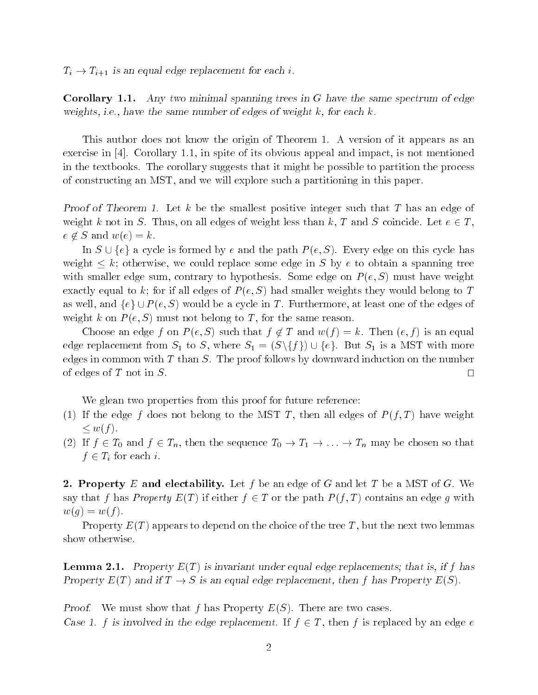$T_i \rightarrow T_{i+1}$  is an equal edge replacement for each i.

**Corollary 1.1.** Any two minimal spanning trees in  $G$  have the same spectrum of edge weights, i.e., have the same number of edges of weight  $k$ , for each  $k$ .

This author does not know the origin of Theorem 1. A version of it appears as an exercise in [4]. Corollary 1.1, in spite of its obvious appeal and impact, is not mentioned in the textbooks. The corollary suggests that it might be possible to partition the process of constructing an MST, and we will explore such a partitioning in this paper.

Proof of Theorem 1. Let k be the smallest positive integer such that T has an edge of weight k not in S. Thus, on all edges of weight less than k, T and S coincide. Let  $e \in T$ ,  $\sim$  62  $\sim$  82  $\sim$  62  $\sim$  62  $\sim$  62  $\sim$  62  $\sim$  62  $\sim$  62  $\sim$  62  $\sim$  62  $\sim$  62  $\sim$  62  $\sim$  62  $\sim$  62  $\sim$  62  $\sim$  62  $\sim$  62  $\sim$  62  $\sim$  62  $\sim$  62  $\sim$  62  $\sim$  62  $\sim$  62  $\sim$  62  $\sim$  62  $\sim$  62  $\sim$  62  $\sim$ 

In  $S \cup \{e\}$  a cycle is formed by e and the path  $P(e, S)$ . Every edge on this cycle has weight  $\leq k$ ; otherwise, we could replace some edge in S by e to obtain a spanning tree with smaller edge sum, contrary to hypothesis. Some edge on  $P(e, S)$  must have weight exactly equal to k; for if all edges of  $P(e, S)$  had smaller weights they would belong to T as well, and  $\{e\} \cup P(e, S)$  would be a cycle in T. Furthermore, at least one of the edges of weight k on  $P(e, S)$  must not belong to T, for the same reason.

Choose an edge f on  $P(e, S)$  such that  $f \notin T$  and  $w(f) = k$ . Then  $(e, f)$  is an equal edge replacement from  $S_1$  to S, where  $S_1 = (S \setminus \{f\}) \cup \{e\}$ . But  $S_1$  is a MST with more edges in common with  $T$  than  $S$ . The proof follows by downward induction on the number of edges of T not in S.

We glean two properties from this proof for future reference:

- (1) If the edge f does not belong to the MST T, then all edges of  $P(f,T)$  have weight  $\leq w(f)$ .
- (2) If  $f \in T_0$  and  $f \in T_n$ , then the sequence  $T_0 \to T_1 \to \ldots \to T_n$  may be chosen so that  $f \subset \pm i$  is each i.

2. Property E and electability. Let f be an edge of G and let T be a MST of G. We say that f has *Property*  $E(T)$  if either  $f \in T$  or the path  $P(f,T)$  contains an edge q with  $w(g) = w(f).$ 

Property  $E(T)$  appears to depend on the choice of the tree T, but the next two lemmas show otherwise.

**Lemma 2.1.** Property  $E(T)$  is invariant under equal edge replacements; that is, if f has Property  $E(T)$  and if  $T \to S$  is an equal edge replacement, then f has Property  $E(S)$ .

**Proof.** We must show that f has Property  $E(S)$ . There are two cases. Case 1. f is involved in the edge replacement. If  $f \in T$ , then f is replaced by an edge e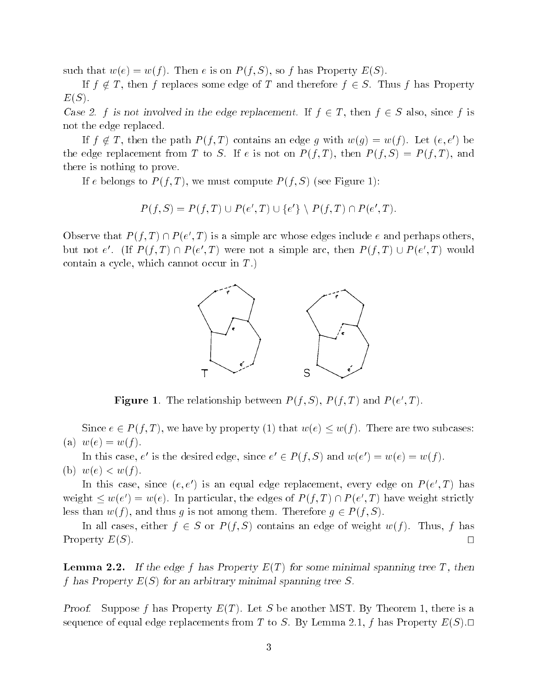such that  $w(e) = w(f)$ . Then e is on  $P(f, S)$ , so f has Property  $E(S)$ .

If  $f \notin T$ , then f replaces some edge of T and therefore  $f \in S$ . Thus f has Property  $E(S)$ .

Case 2. f is not involved in the edge replacement. If  $f \in T$ , then  $f \in S$  also, since f is not the edge replaced.

If  $f \notin T$ , then the path  $P(f,T)$  contains an edge g with  $w(g) = w(f)$ . Let  $(e, e')$  be the edge replacement from T to S. If e is not on  $P(f,T)$ , then  $P(f,S) = P(f,T)$ , and there is nothing to prove.

If e belongs to  $P(f,T)$ , we must compute  $P(f,S)$  (see Figure 1):

$$
P(f, S) = P(f, T) \cup P(e', T) \cup \{e'\} \setminus P(f, T) \cap P(e', T).
$$

Observe that  $P(T,T) \sqcup P(e',T)$  is a simple arc whose edges include e and perhaps others, but not e.  $(\Pi \ P)/T$   $\Pi$  if  $P$  (e , I ) were not a simple arc, then  $P$  (i, I )  $\cup$   $P$  (e , I ) would contain a cycle, which cannot occur in  $T$ .)



**Figure 1.** The relationship between  $P(T, S)$ ,  $P(T, I)$  and  $P(e, I)$ .

Since  $e \in P(f,T)$ , we have by property (1) that  $w(e) \leq w(f)$ . There are two subcases: (a)  $w(e) = w(f)$ .

In this case, e is the desired edge, since  $e \in F(f, S)$  and  $w(e) = w(e) = w(f)$ . (b)  $w(e) < w(f)$ .

In this case, since  $(e, e$  ) is an equal edge replacement, every edge on  $P(e, I)$  has weight  $\leq w(e) = w(e)$ . In particular, the edges of  $P(f, I) \sqcup P(e, I)$  have weight strictly less than  $w(f)$ , and thus g is not among them. Therefore  $g \in P(f, S)$ .

In all cases, either  $f \in S$  or  $P(f, S)$  contains an edge of weight  $w(f)$ . Thus, f has Property  $E(S)$ .

**Lemma 2.2.** If the edge f has Property  $E(T)$  for some minimal spanning tree T, then  $f$  has report  $f$   $\omega$  ( $\omega$ ) for an arbitrary minimal spanning tree  $\omega$ .

*Proof.* Suppose f has Property  $E(T)$ . Let S be another MST. By Theorem 1, there is a sequence of equal edge replacements from T to S. By Lemma 2.1, f has Property  $E(S)$ .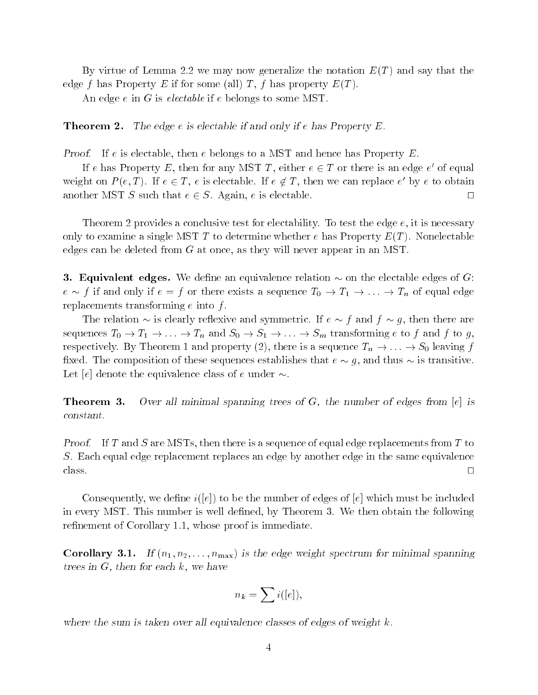By virtue of Lemma 2.2 we may now generalize the notation  $E(T)$  and say that the edge f has Property E if for some (all) T, f has property  $E(T)$ .

An edge  $e$  in  $G$  is electable if  $e$  belongs to some MST.

**Theorem 2.** The edge  $e$  is electable if and only if  $e$  has Property E.

Proof. If e is electable, then e belongs to a MST and hence has Property  $E$ .

If e has Property  $E$ , then for any MST  $I$ , either  $e \in I$  or there is an edge  $e$  of equal weight on  $P(e, I)$ . If  $e \in I$ , e is electable. If  $e \notin I$ , then we can replace e by e to obtain another MST S such that  $e \in S$ . Again, e is electable.  $\square$ 

Theorem 2 provides a conclusive test for electability. To test the edge  $e$ , it is necessary only to examine a single MST T to determine whether e has Property  $E(T)$ . Nonelectable edges can be deleted from <sup>G</sup> at once, as they will never appear in an MST.

**3. Equivalent edges.** We define an equivalence relation  $\sim$  on the electable edges of G: e  $f$  if and only if  $e$   $f$  or there exists a sequence  $\pm 0$   $i + 1$   $i + 1$   $\pm 1$  or equal edge. replacements transforming  $e$  into  $f$ .

The relation  $\sim$  is clearly reflexive and symmetric. If  $e \sim f$  and  $f \sim q$ , then there are sequences  $T_0 \to T_1 \to \ldots \to T_n$  and  $S_0 \to S_1 \to \ldots \to S_m$  transforming e to f and f to g, respectively. By Theorem 1 and property (2), there is a sequence  $T_n \to \ldots \to S_0$  leaving f fixed. The composition of these sequences establishes that  $e \sim g$ , and thus  $\sim$  is transitive. Let [e] denote the equivalence class of e under  $\sim$ .

**Theorem 3.** Over all minimal spanning trees of  $G$ , the number of edges from [e] is constant.

**Proof.** If T and S are MSTs, then there is a sequence of equal edge replacements from T to S. Each equal edge replacement replaces an edge by another edge in the same equivalence

Consequently, we define  $i([e])$  to be the number of edges of  $[e]$  which must be included in every MST. This number is well defined, by Theorem 3. We then obtain the following refinement of Corollary 1.1, whose proof is immediate.

**Corollary 3.1.** If  $(n_1, n_2, \ldots, n_{\text{max}})$  is the edge weight spectrum for minimal spanning trees in  $G$ , then for each  $k$ , we have

$$
n_k = \sum i([e]),
$$

where the sum is taken over all equivalence classes of edges of weight  $k$ .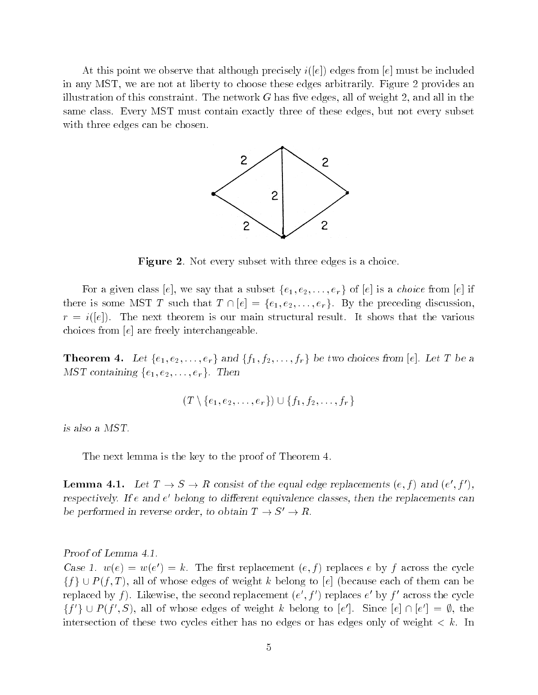At this point we observe that although precisely  $i(|e|)$  edges from  $|e|$  must be included in any MST, we are not at liberty to choose these edges arbitrarily. Figure 2 provides an illustration of this constraint. The network  $G$  has five edges, all of weight 2, and all in the same class. Every MST must contain exactly three of these edges, but not every subset with three edges can be chosen.



Figure 2. Not every subset with three edges is a choice.

For a given class [e], we say that a subset  $\{e_1, e_2, \ldots, e_r\}$  of [e] is a *choice* from [e] if there is some MST T such that  $T \cap [e] = \{e_1, e_2, \ldots, e_r\}$ . By the preceding discussion, r = i([e]). The next main structure is our maintain structure for main the structure that the structure is choices from [e] are freely interchangeable.

**Theorem 4.** Let  $\{e_1, e_2, \ldots, e_r\}$  and  $\{f_1, f_2, \ldots, f_r\}$  be two choices from [e]. Let T be a MST containing  $\{e_1, e_2, \ldots, e_r\}$ . Then

$$
(T \setminus \{e_1, e_2, \ldots, e_r\}) \cup \{f_1, f_2, \ldots, f_r\}
$$

is also a MST.

The next lemma is the key to the proof of Theorem 4.

**Lemma 4.1.** Let  $I \rightarrow S \rightarrow R$  consist of the equal edge replacements  $(e, f)$  and  $(e, f)$ , respectively. If e and e belong to different equivalence classes, then the replacements can be performed in reverse order, to obtain  $T \to S' \to R$ .

Proof of Lemma 4.1.

Case 1.  $w(e) = w(e') = \kappa$ . The first replacement  $(e, f)$  replaces e by f across the cycle  ${f} \cup P(f,T)$ , all of whose edges of weight k belong to [e] (because each of them can be replaced by  $\jmath$ ). Likewise, the second replacement (e ,  $\jmath$  ) replaces e  $\lnot v$   $\jmath$  across the cycle  $\{f \} \cap \{f \mid f \in F(j_1, \mathcal{S})\}$ , all of whose edges of weight k belong to  $|e|$ . Since  $|e|$   $\Box$   $\Box$   $e| = \psi$ , the intersection of these two cycles either has no edges or has edges only of weight  $\lt k$ . In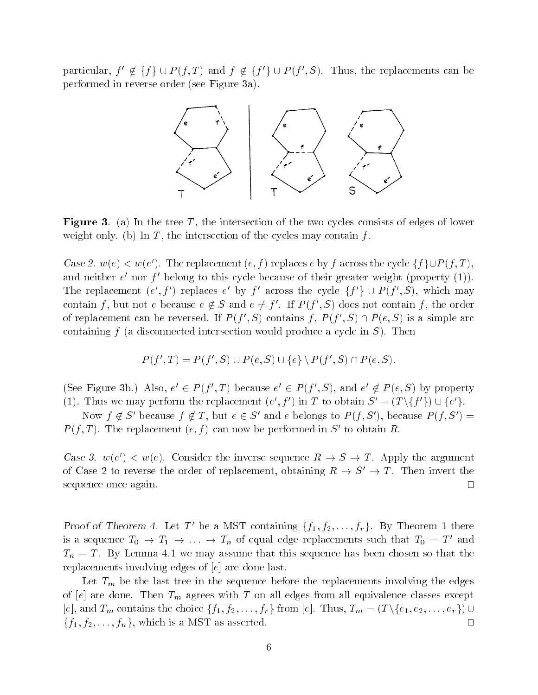particular,  $f' \notin \{f\} \cup P(f,T)$  and  $f \notin \{f' \} \cup P(f',S)$ . Thus, the replacements can be performed in reverse order (see Figure 3a).



**Figure 3.** (a) In the tree T, the intersection of the two cycles consists of edges of lower weight only. (b) In  $T$ , the intersection of the cycles may contain  $f$ .

Case 2.  $w(e) \leq w(e)$ . The replacement  $(e, f)$  replaces e by f across the cycle  $\{f\} \cup F(f, T),$ and neither  $e$  -nor  $f$  -belong to this cycle because of their greater weight (property (1)). The replacement  $(e, f)$  replaces e by f across the cycle  $\{f \} \cup F(f, S)$ , which may contain f, but not  $e$  because  $e \notin S$  and  $e \neq f$  . If  $F(f \setminus S)$  does not contain f, the order of replacement can be reversed. If  $P(T, S)$  contains f,  $P(T, S) \sqcup P(e, S)$  is a simple arc containing  $f$  (a disconnected intersection would produce a cycle in  $S$ ). Then

$$
P(f',T) = P(f',S) \cup P(e,S) \cup \{e\} \setminus P(f',S) \cap P(e,S).
$$

(see Figure 3b.) Also,  $e \in F(f, I)$  because  $e \in F(f, S)$ , and  $e \notin F(e, S)$  by property (1). Thus we may perform the replacement  $(e, f)$  in T to obtain  $S = (T \setminus \{f\} \setminus \cup \{e\})$ .

Now  $f \notin S'$  because  $f \notin T$ , but  $e \in S'$  and e belongs to  $P(f, S')$ , because  $P(f, S') =$  $P$  (f, I ). The replacement (e, f) can now be performed in S- to obtain  $R$ .

Case 3.  $w(e) \leq w(e)$ . Consider the inverse sequence  $R \to S \to I$ . Apply the argument of Case 2 to reverse the order of replacement, obtaining  $R \to S' \to T$ . Then invert the sequence once again.  $\Box$ 

Proof of Theorem 4. Let T' be a MST containing  $\{f_1, f_2, \ldots, f_r\}$ . By Theorem 1 there is a sequence  $T_0 \to T_1 \to \ldots \to T_n$  of equal edge replacements such that  $T_0 = T'$  and  $T_n = T$ . By Lemma 4.1 we may assume that this sequence has been chosen so that the replacements involving edges of  $e$  are done last.

Let  $T_m$  be the last tree in the sequence before the replacements involving the edges of [e] are done. Then  $T_m$  agrees with T on all edges from all equivalence classes except [e], and  $T_m$  contains the choice  $\{f_1, f_2, \ldots, f_r\}$  from [e]. Thus,  $T_m = (T \setminus \{e_1, e_2, \ldots, e_r\}) \cup$  ${f_1, f_2, \ldots, f_n}$ , which is a MST as asserted.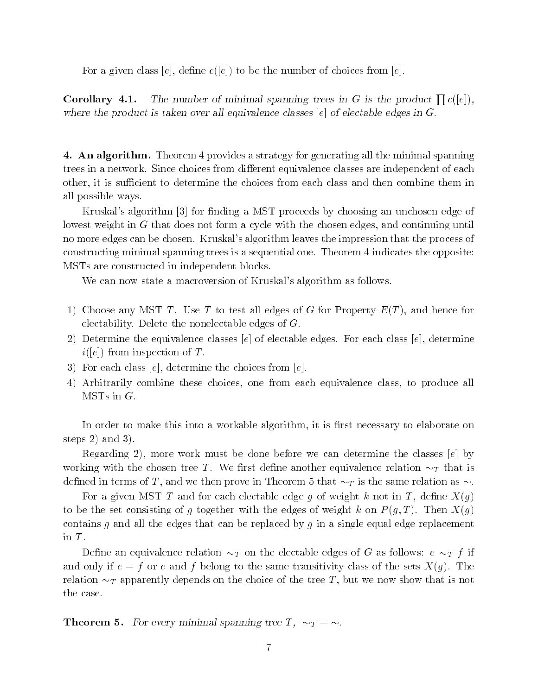For a given class [e], define  $c([e])$  to be the number of choices from [e].

**Corollary 4.1.** The number of minimal spanning trees in G is the product  $\prod c([e])$ , where the product is taken over all equivalence classes  $[e]$  of electable edges in G.

4. An algorithm. Theorem 4 provides a strategy for generating all the minimal spanning trees in a network. Since choices from different equivalence classes are independent of each other, it is sufficient to determine the choices from each class and then combine them in all possible ways.

Kruskal's algorithm [3] for finding a MST proceeds by choosing an unchosen edge of lowest weight in <sup>G</sup> that does not form a cycle with the chosen edges, and continuing until no more edges can be chosen. Kruskal's algorithm leaves the impression that the process of constructing minimal spanning trees is a sequential one. Theorem 4 indicates the opposite: MSTs are constructed in independent blocks.

We can now state a macroversion of Kruskal's algorithm as follows.

- 1) Choose any MST T. Use T to test all edges of G for Property  $E(T)$ , and hence for electability. Delete the nonelectable edges of  $G$ .
- 2) Determine the equivalence classes  $[e]$  of electable edges. For each class  $[e]$ , determine  $i([e])$  from inspection of T.
- 3) For each class  $[e]$ , determine the choices from  $[e]$ .
- 4) Arbitrarily combine these choices, one from each equivalence class, to produce all  $MSTs$  in  $G$ .

In order to make this into a workable algorithm, it is first necessary to elaborate on steps 2) and 3).

Regarding 2), more work must be done before we can determine the classes  $[e]$  by working with the chosen tree T. We first define another equivalence relation  $\sim_T$  that is defined in terms of T, and we then prove in Theorem 5 that  $\sim_T$  is the same relation as  $\sim$ .

For a given MST T and for each electable edge g of weight k not in T, define  $X(g)$ to be the set consisting of g together with the edges of weight k on  $P(g,T)$ . Then  $X(g)$ contains g and all the edges that can be replaced by g in a single equal edge replacement in T.<br>Define an equivalence relation  $\sim_T$  on the electable edges of G as follows:  $e \sim_T f$  if

and only if  $e = f$  or e and f belong to the same transitivity class of the sets  $X(q)$ . The relation  $\sim_T$  apparently depends on the choice of the tree T, but we now show that is not the case.

**Theorem 5.** For every minimal spanning tree T,  $\sim_T = \sim$ .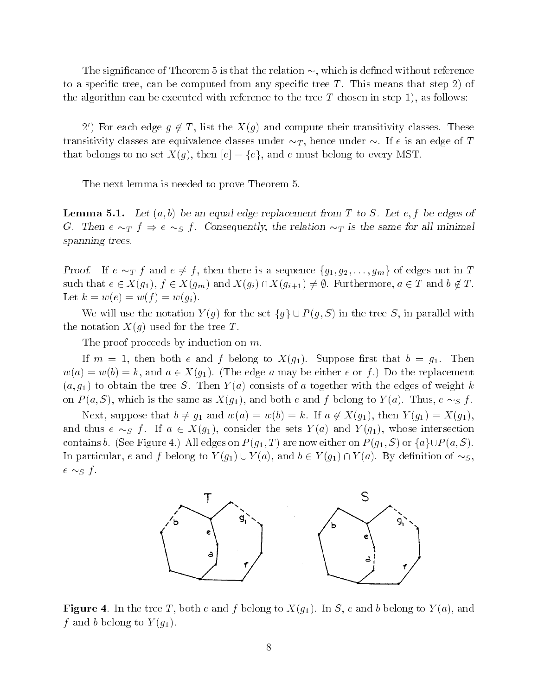The significance of Theorem 5 is that the relation  $\sim$ , which is defined without reference to a specific tree, can be computed from any specific tree  $T$ . This means that step 2) of the algorithm can be executed with reference to the tree  $T$  chosen in step 1), as follows:

2') For each edge  $g \notin T$ , list the  $X(g)$  and compute their transitivity classes. These transitivity classes are equivalence classes under  $\sim_T$ , hence under  $\sim$ . If e is an edge of T that belongs to no set  $X(q)$ , then  $[e] = \{e\}$ , and e must belong to every MST.

The next lemma is needed to prove Theorem 5.

**Lemma 5.1.** Let  $(a, b)$  be an equal edge replacement from T to S. Let e, f be edges of G. Then  $e \sim_T f \Rightarrow e \sim_S f$ . Consequently, the relation  $\sim_T$  is the same for all minimal spanning trees.

Proof. If  $e \sim_T f$  and  $e \neq f$ , then there is a sequence  $\{g_1, g_2, \ldots, g_m\}$  of edges not in T such that  $e \in X(g_1), f \in X(g_m)$  and  $X(g_i) \cap X(g_{i+1}) \neq \emptyset$ . Furthermore,  $a \in T$  and  $b \notin T$ . Let  $k = w(e) = w(f) = w(g_i)$ .

We will use the notation  $Y(g)$  for the set  $\{g\} \cup P(g, S)$  in the tree S, in parallel with the notation  $X(g)$  used for the tree T.

The proof proceeds by induction on m.

If  $m = 1$ , then both e and f belong to  $X(g_1)$ . Suppose first that  $b = g_1$ . Then  $w(a) = w(b) = k$ , and  $a \in X(g_1)$ . (The edge a may be either e or f.) Do the replacement  $(a, g_1)$  to obtain the tree S. Then  $Y(a)$  consists of a together with the edges of weight k on  $P(a, S)$ , which is the same as  $X(g_1)$ , and both e and f belong to  $Y(a)$ . Thus,  $e \sim_S f$ .

Next, suppose that  $b \neq g_1$  and  $w(a) = w(b) = k$ . If  $a \notin X(g_1)$ , then  $Y(g_1) = X(g_1)$ , and thus  $e \sim_S f$ . If  $a \in X(g_1)$ , consider the sets  $Y(a)$  and  $Y(g_1)$ , whose intersection contains b. (See Figure 4.) All edges on  $P(g_1,T)$  are now either on  $P(g_1,S)$  or  $\{a\} \cup P(a, S)$ . In particular, e and f belong to  $Y(g_1) \cup Y(a)$ , and  $b \in Y(g_1) \cap Y(a)$ . By definition of  $\sim_S$ , e S <sup>f</sup> .



**Figure** 4. In the tree T, both e and f belong to  $X(g_1)$ . In S, e and b belong to  $Y(a)$ , and  $f$  and b belong to  $f$  (g1).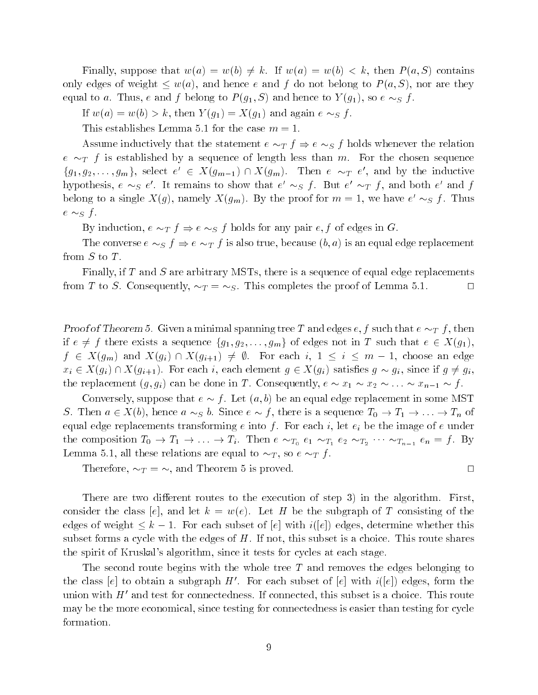Finally, suppose that  $w(a) = w(b) \neq k$ . If  $w(a) = w(b) < k$ , then  $P(a, S)$  contains only edges of weight  $\leq w(a)$ , and hence e and f do not belong to  $P(a, S)$ , nor are they equal to a. Thus, e and f belong to  $P(g_1, S)$  and hence to  $Y(g_1)$ , so  $e \sim_S f$ .

If  $w(a) = w(b) > k$ , then  $Y(g_1) = X(g_1)$  and again  $e \sim_S f$ .

This establishes Lemma 5.1 for the case  $m = 1$ .

Assume inductively that the statement  $e \sim_T f \Rightarrow e \sim_S f$  holds whenever the relation e T <sup>f</sup> is established by a sequence of length less than m. For the chosen sequence  $\{g_1, g_2, \ldots, g_m\}$ , select  $e \in \Lambda(g_{m-1}) \sqcup \Lambda(g_m)$ . Then  $e \sim_T e$ , and by the inductive hypothesis,  $e \sim_S e$ . It remains to show that  $e \sim_S f$ . But  $e \sim_T f$ , and both  $e$  and  $f$ belong to a single  $A(g)$ , namely  $A(g_m)$ . By the proof for  $m = 1$ , we have  $e \sim_S f$ . Thus  $\sim$   $\sim$   $\sim$   $\sim$   $\sim$ 

By induction,  $e \sim_T f \Rightarrow e \sim_S f$  holds for any pair  $e, f$  of edges in G.

The converse  $e \sim_S f \Rightarrow e \sim_T f$  is also true, because  $(b, a)$  is an equal edge replacement from  $S$  to  $T$ .

Finally, if  $T$  and  $S$  are arbitrary MSTs, there is a sequence of equal edge replacements from T to S. Consequently,  $\sim_T = \sim_S$ . This completes the proof of Lemma 5.1.  $\Box$ 

Proof of Theorem 5. Given a minimal spanning tree T and edges  $e, f$  such that  $e \sim_T f$ , then if  $e \neq f$  there exists a sequence  $\{g_1, g_2, \ldots, g_m\}$  of edges not in T such that  $e \in X(g_1)$ ,  $f$   $\in$   $\mathbb{R}$ (gin) and  $\mathbb{R}$  if  $\mathbb{R}$  if  $\mathbb{R}$  if  $\mathbb{R}$  is the subset of  $\mathbb{R}$  . The edge of  $\mathbb{R}$  $x_i \in X(g_i) \cap X(g_{i+1})$ . For each i, each element  $g \in X(g_i)$  satisfies  $g \sim g_i$ , since if  $g \neq g_i$ , the replacement  $(g, g_i)$  can be done in T. Consequently,  $e \sim x_1 \sim x_2 \sim \ldots \sim x_{n-1} \sim f$ .

Conversely, suppose that  $e \sim f$ . Let  $(a, b)$  be an equal edge replacement in some MST S. Then  $a \in X(b)$ , hence  $a \sim_S b$ . Since  $e \sim f$ , there is a sequence  $T_0 \to T_1 \to \ldots \to T_n$  of equal edge replacements transforming e into f. For each i, let  $e_i$  be the image of e under the composition  $T_0 \to T_1 \to \ldots \to T_i$ . Then  $e \sim_{T_0} e_1 \sim_{T_1} e_2 \sim_{T_2} \cdots \sim_{T_{n-1}} e_n = f$ . By Lemma 5.1, all these relations are equal to  $\sim_T$ , so  $e \sim_T f$ .

Therefore,  $\sim_T = \sim$ , and Theorem 5 is proved.

There are two different routes to the execution of step 3) in the algorithm. First, consider the class [e], and let  $k = w(e)$ . Let H be the subgraph of T consisting of the edges of weight  $\leq k - 1$ . For each subset of  $[e]$  with  $i([e])$  edges, determine whether this subset forms a cycle with the edges of  $H$ . If not, this subset is a choice. This route shares the spirit of Kruskal's algorithm, since it tests for cycles at each stage.

The second route begins with the whole tree  $T$  and removes the edges belonging to the class [e] to obtain a subgraph H'. For each subset of [e] with  $i([e])$  edges, form the union with  $H'$  and test for connectedness. If connected, this subset is a choice. This route may be the more economical, since testing for connectedness is easier than testing for cycle formation.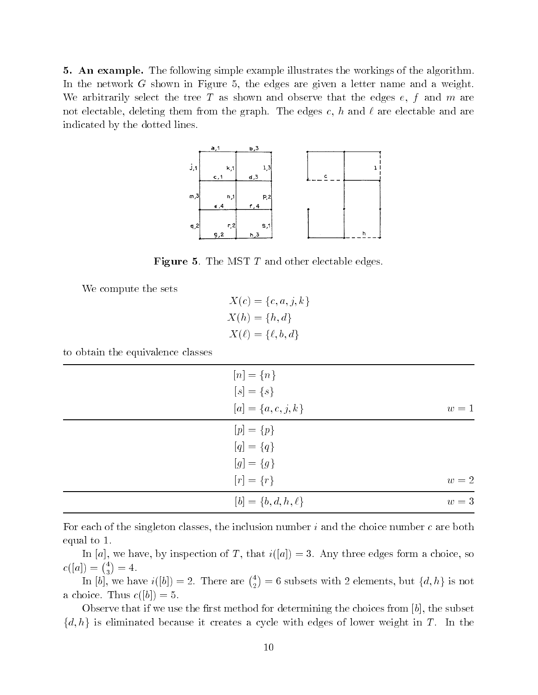5. An example. The following simple example illustrates the workings of the algorithm. In the network <sup>G</sup> shown in Figure 5, the edges are given a letter name and a weight. We arbitrarily select the tree T as shown and observe that the edges  $e, f$  and m are not electable, deleting them from the graph. The edges c, h and  $\ell$  are electable and are indicated by the dotted lines.



**Figure 5.** The MST  $T$  and other electable edges.

We compute the sets

$$
X(c) = \{c, a, j, k\}
$$

$$
X(h) = \{h, d\}
$$

$$
X(\ell) = \{\ell, b, d\}
$$

to obtain the equivalence classes

| $[n] = \{n\}$             |       |
|---------------------------|-------|
| $[s] = \{s\}$             |       |
| $[a] = \{a, c, j, k\}$    | $w=1$ |
| $[p] = \{p\}$             |       |
| $[q] = \{q\}$             |       |
| $[g] = \{g\}$             |       |
| $[r] = \{r\}$             | $w=2$ |
| $[b] = \{b, d, h, \ell\}$ | $w=3$ |

For each of the singleton classes, the inclusion number  $i$  and the choice number  $c$  are both equal to 1.

In [a], we have, by inspection of T, that  $i([a]) = 3$ . Any three edges form a choice, so  $c([a]) = {4 \choose 3} = 4.$ 

In [b], we have  $i([b]) = 2$ . There are  $\binom{4}{2} = 6$  subsets with 2 elements, but  $\{d, h\}$  is not a choice. Thus  $c([b]) = 5$ .

Observe that if we use the first method for determining the choices from  $[b]$ , the subset  $\{d, h\}$  is eliminated because it creates a cycle with edges of lower weight in T. In the